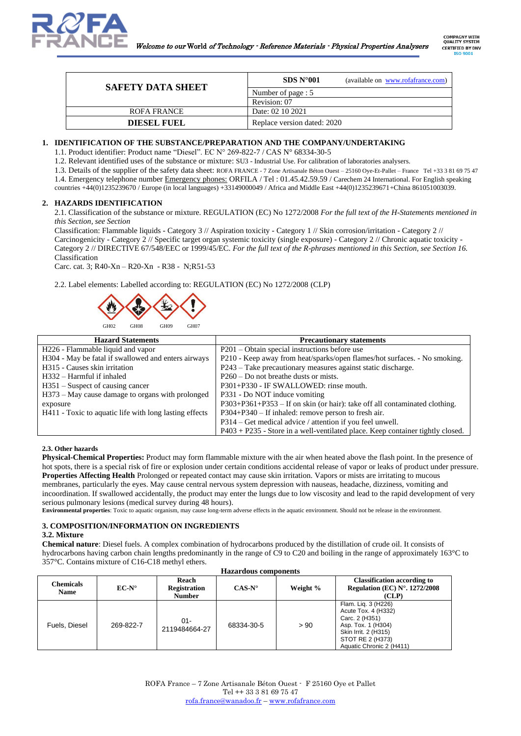

| <b>SAFETY DATA SHEET</b> | SDS N <sup>o</sup> 001<br>(available on www.rofafrance.com) |
|--------------------------|-------------------------------------------------------------|
|                          | Number of page : 5                                          |
|                          | Revision: 07                                                |
| ROFA FRANCE              | Date: 02 10 2021                                            |
| <b>DIESEL FUEL</b>       | Replace version dated: 2020                                 |

## **1. IDENTIFICATION OF THE SUBSTANCE/PREPARATION AND THE COMPANY/UNDERTAKING**

1.1. Product identifier: Product name "Diesel". EC N° 269-822-7 / CAS N° 68334-30-5

1.2. Relevant identified uses of the substance or mixture: SU3 - Industrial Use. For calibration of laboratories analysers.

1.3. Details of the supplier of the safety data sheet: ROFA FRANCE - 7 Zone Artisanale Béton Ouest – 25160 Oye-Et-Pallet – France Tel +33 3 81 69 75 47

1.4. Emergency telephone number Emergency phones: ORFILA / Tel : 01.45.42.59.59 / Carechem 24 International. For English speaking

countries +44(0)1235239670 / Europe (in local languages) +33149000049 / Africa and Middle East +44(0)1235239671+China 861051003039.

## **2. HAZARDS IDENTIFICATION**

2.1. Classification of the substance or mixture. REGULATION (EC) No 1272/2008 *For the full text of the H-Statements mentioned in this Section, see Section* 

Classification: Flammable liquids - Category 3 // Aspiration toxicity - Category 1 // Skin corrosion/irritation - Category 2 // Carcinogenicity - Category 2 // Specific target organ systemic toxicity (single exposure) - Category 2 // Chronic aquatic toxicity - Category 2 // DIRECTIVE 67/548/EEC or 1999/45/EC. *For the full text of the R-phrases mentioned in this Section, see Section 16.* Classification

Carc. cat. 3; R40-Xn – R20-Xn - R38 - N;R51-53

2.2. Label elements: Labelled according to: REGULATION (EC) No 1272/2008 (CLP)



| <b>Hazard Statements</b>                               | <b>Precautionary statements</b>                                                  |
|--------------------------------------------------------|----------------------------------------------------------------------------------|
| H226 - Flammable liquid and vapor                      | $P201 - Obtain special instructions before use$                                  |
| H304 - May be fatal if swallowed and enters airways    | P210 - Keep away from heat/sparks/open flames/hot surfaces. - No smoking.        |
| H <sub>315</sub> - Causes skin irritation              | P243 – Take precautionary measures against static discharge.                     |
| H332 – Harmful if inhaled                              | $P260 - Do$ not breathe dusts or mists.                                          |
| $H351$ – Suspect of causing cancer                     | P301+P330 - IF SWALLOWED: rinse mouth.                                           |
| H373 – May cause damage to organs with prolonged       | P331 - Do NOT induce vomiting                                                    |
| exposure                                               | P303+P361+P353 – If on skin (or hair): take off all contaminated clothing.       |
| H411 - Toxic to aquatic life with long lasting effects | $P304 + P340 - If inhaled: remove person to fresh air.$                          |
|                                                        | P314 – Get medical advice / attention if you feel unwell.                        |
|                                                        | $P403 + P235$ - Store in a well-ventilated place. Keep container tightly closed. |

## **2.3. Other hazards**

**Physical-Chemical Properties:** Product may form flammable mixture with the air when heated above the flash point. In the presence of hot spots, there is a special risk of fire or explosion under certain conditions accidental release of vapor or leaks of product under pressure. **Properties Affecting Health** Prolonged or repeated contact may cause skin irritation. Vapors or mists are irritating to mucous membranes, particularly the eyes. May cause central nervous system depression with nauseas, headache, dizziness, vomiting and incoordination. If swallowed accidentally, the product may enter the lungs due to low viscosity and lead to the rapid development of very serious pulmonary lesions (medical survey during 48 hours).

**Environmental properties**: Toxic to aquatic organism, may cause long-term adverse effects in the aquatic environment. Should not be release in the environment.

## **3. COMPOSITION/INFORMATION ON INGREDIENTS**

# **3.2. Mixture**

**Chemical nature**: Diesel fuels. A complex combination of hydrocarbons produced by the distillation of crude oil. It consists of hydrocarbons having carbon chain lengths predominantly in the range of C9 to C20 and boiling in the range of approximately 163°C to 357°C. Contains mixture of C16-C18 methyl ethers.

| <b>Hazaruous components</b> |                |                                               |                 |          |                                                                                                                                                            |
|-----------------------------|----------------|-----------------------------------------------|-----------------|----------|------------------------------------------------------------------------------------------------------------------------------------------------------------|
| Chemicals<br><b>Name</b>    | $EC-N^{\circ}$ | Reach<br><b>Registration</b><br><b>Number</b> | $CAS-N^{\circ}$ | Weight % | <b>Classification according to</b><br>Regulation (EC) $N^{\circ}$ , 1272/2008<br>(CLP)                                                                     |
| Fuels, Diesel               | 269-822-7      | $01 -$<br>2119484664-27                       | 68334-30-5      | > 90     | Flam. Lig. 3 (H226)<br>Acute Tox. 4 (H332)<br>Carc. 2 (H351)<br>Asp. Tox. 1 (H304)<br>Skin Irrit. 2 (H315)<br>STOT RE 2 (H373)<br>Aquatic Chronic 2 (H411) |

# **Hazardous components**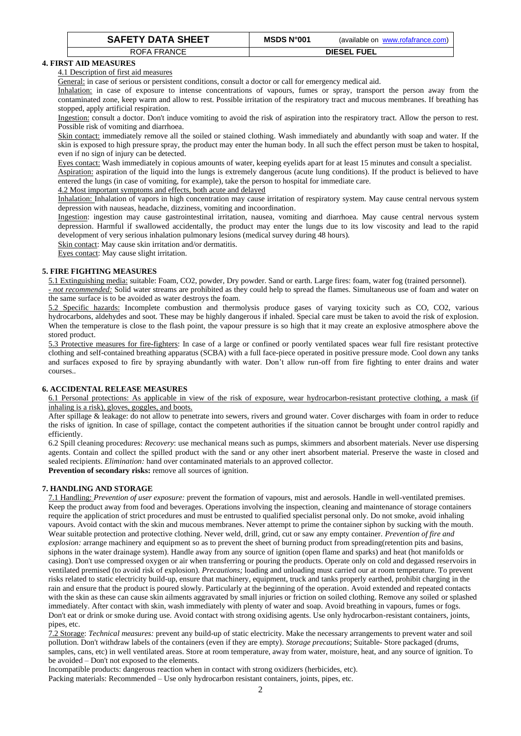| <b>SAFETY DATA SHEET</b> | <b>MSDS N°001</b> | (available on www.rofafrance.com) |
|--------------------------|-------------------|-----------------------------------|
| ROFA FRANCE              |                   | <b>DIESEL FUEL</b>                |

# **4. FIRST AID MEASURES**

# 4.1 Description of first aid measures

General: in case of serious or persistent conditions, consult a doctor or call for emergency medical aid.

Inhalation: in case of exposure to intense concentrations of vapours, fumes or spray, transport the person away from the contaminated zone, keep warm and allow to rest. Possible irritation of the respiratory tract and mucous membranes. If breathing has stopped, apply artificial respiration.

Ingestion: consult a doctor. Don't induce vomiting to avoid the risk of aspiration into the respiratory tract. Allow the person to rest. Possible risk of vomiting and diarrhoea.

Skin contact: immediately remove all the soiled or stained clothing. Wash immediately and abundantly with soap and water. If the skin is exposed to high pressure spray, the product may enter the human body. In all such the effect person must be taken to hospital, even if no sign of injury can be detected.

Eyes contact: Wash immediately in copious amounts of water, keeping eyelids apart for at least 15 minutes and consult a specialist.

Aspiration: aspiration of the liquid into the lungs is extremely dangerous (acute lung conditions). If the product is believed to have entered the lungs (in case of vomiting, for example), take the person to hospital for immediate care.

4.2 Most important symptoms and effects, both acute and delayed

Inhalation: Inhalation of vapors in high concentration may cause irritation of respiratory system. May cause central nervous system depression with nauseas, headache, dizziness, vomiting and incoordination.

Ingestion: ingestion may cause gastrointestinal irritation, nausea, vomiting and diarrhoea. May cause central nervous system depression. Harmful if swallowed accidentally, the product may enter the lungs due to its low viscosity and lead to the rapid development of very serious inhalation pulmonary lesions (medical survey during 48 hours).

Skin contact: May cause skin irritation and/or dermatitis.

Eyes contact: May cause slight irritation.

# **5. FIRE FIGHTING MEASURES**

5.1 Extinguishing media: suitable: Foam, CO2, powder, Dry powder. Sand or earth. Large fires: foam, water fog (trained personnel).

*- not recommended:* Solid water streams are prohibited as they could help to spread the flames. Simultaneous use of foam and water on the same surface is to be avoided as water destroys the foam.

5.2 Specific hazards: Incomplete combustion and thermolysis produce gases of varying toxicity such as CO, CO2, various hydrocarbons, aldehydes and soot. These may be highly dangerous if inhaled. Special care must be taken to avoid the risk of explosion. When the temperature is close to the flash point, the vapour pressure is so high that it may create an explosive atmosphere above the stored product.

5.3 Protective measures for fire-fighters: In case of a large or confined or poorly ventilated spaces wear full fire resistant protective clothing and self-contained breathing apparatus (SCBA) with a full face-piece operated in positive pressure mode. Cool down any tanks and surfaces exposed to fire by spraying abundantly with water. Don't allow run-off from fire fighting to enter drains and water courses..

# **6. ACCIDENTAL RELEASE MEASURES**

6.1 Personal protections: As applicable in view of the risk of exposure, wear hydrocarbon-resistant protective clothing, a mask (if inhaling is a risk), gloves, goggles, and boots.

After spillage & leakage: do not allow to penetrate into sewers, rivers and ground water. Cover discharges with foam in order to reduce the risks of ignition. In case of spillage, contact the competent authorities if the situation cannot be brought under control rapidly and efficiently.

6.2 Spill cleaning procedures: *Recovery*: use mechanical means such as pumps, skimmers and absorbent materials. Never use dispersing agents. Contain and collect the spilled product with the sand or any other inert absorbent material. Preserve the waste in closed and sealed recipients. *Elimination:* hand over contaminated materials to an approved collector.

Prevention of secondary risks: remove all sources of ignition.

# **7. HANDLING AND STORAGE**

7.1 Handling: *Prevention of user exposure:* prevent the formation of vapours, mist and aerosols. Handle in well-ventilated premises. Keep the product away from food and beverages. Operations involving the inspection, cleaning and maintenance of storage containers require the application of strict procedures and must be entrusted to qualified specialist personal only. Do not smoke, avoid inhaling vapours. Avoid contact with the skin and mucous membranes. Never attempt to prime the container siphon by sucking with the mouth. Wear suitable protection and protective clothing. Never weld, drill, grind, cut or saw any empty container. *Prevention of fire and explosion:* arrange machinery and equipment so as to prevent the sheet of burning product from spreading(retention pits and basins, siphons in the water drainage system). Handle away from any source of ignition (open flame and sparks) and heat (hot manifolds or casing). Don't use compressed oxygen or air when transferring or pouring the products. Operate only on cold and degassed reservoirs in ventilated premised (to avoid risk of explosion). *Precautions;* loading and unloading must carried our at room temperature. To prevent risks related to static electricity build-up, ensure that machinery, equipment, truck and tanks properly earthed, prohibit charging in the rain and ensure that the product is poured slowly. Particularly at the beginning of the operation. Avoid extended and repeated contacts with the skin as these can cause skin ailments aggravated by small injuries or friction on soiled clothing. Remove any soiled or splashed immediately. After contact with skin, wash immediately with plenty of water and soap. Avoid breathing in vapours, fumes or fogs. Don't eat or drink or smoke during use. Avoid contact with strong oxidising agents. Use only hydrocarbon-resistant containers, joints, pipes, etc.

7.2 Storage: *Technical measures:* prevent any build-up of static electricity. Make the necessary arrangements to prevent water and soil pollution. Don't withdraw labels of the containers (even if they are empty). *Storage precautions*; Suitable- Store packaged (drums, samples, cans, etc) in well ventilated areas. Store at room temperature, away from water, moisture, heat, and any source of ignition. To be avoided – Don't not exposed to the elements.

Incompatible products: dangerous reaction when in contact with strong oxidizers (herbicides, etc).

Packing materials: Recommended – Use only hydrocarbon resistant containers, joints, pipes, etc.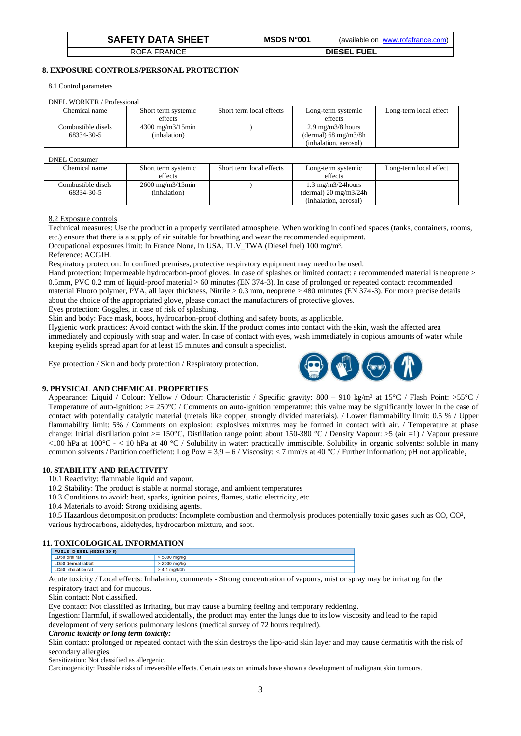| <b>SAFETY DATA SHEET</b> | MSDS N°001 | (available on www.rofafrance.com) |
|--------------------------|------------|-----------------------------------|
| ROFA FRANCE              |            | <b>DIESEL FUEL</b>                |

# **8. EXPOSURE CONTROLS/PERSONAL PROTECTION**

8.1 Control parameters

DNEL WORKER / Professional

| $P_1$              |                                    |                          |                                        |                        |
|--------------------|------------------------------------|--------------------------|----------------------------------------|------------------------|
| Chemical name      | Short term systemic                | Short term local effects | Long-term systemic                     | Long-term local effect |
|                    | effects                            |                          | effects                                |                        |
| Combustible disels | $4300 \text{ mg/m}3/15 \text{min}$ |                          | $2.9 \text{ mg/m}$ $3/8 \text{ hours}$ |                        |
| 68334-30-5         | (inhalation)                       |                          | (dermal) $68 \text{ mg/m}3/8h$         |                        |
|                    |                                    |                          | (inhalation, aerosol)                  |                        |

### DNEL Consumer

| DIALLE CONSUMER    |                                    |                          |                                        |                        |
|--------------------|------------------------------------|--------------------------|----------------------------------------|------------------------|
| Chemical name      | Short term systemic                | Short term local effects | Long-term systemic                     | Long-term local effect |
|                    | effects                            |                          | effects                                |                        |
| Combustible disels | $2600 \text{ mg/m}3/15 \text{min}$ |                          | $1.3 \text{ mg/m}$ $3/24 \text{hours}$ |                        |
| 68334-30-5         | (inhalation)                       |                          | (dermal) $20 \text{ mg/m}3/24h$        |                        |
|                    |                                    |                          | (inhalation, aerosol)                  |                        |

8.2 Exposure controls

Technical measures: Use the product in a properly ventilated atmosphere. When working in confined spaces (tanks, containers, rooms, etc.) ensure that there is a supply of air suitable for breathing and wear the recommended equipment.

Occupational exposures limit: In France None, In USA, TLV\_TWA (Diesel fuel) 100 mg/m³.

Reference: ACGIH.

Respiratory protection: In confined premises, protective respiratory equipment may need to be used.

Hand protection: Impermeable hydrocarbon-proof gloves. In case of splashes or limited contact: a recommended material is neoprene > 0.5mm, PVC 0.2 mm of liquid-proof material > 60 minutes (EN 374-3). In case of prolonged or repeated contact: recommended material Fluoro polymer, PVA, all layer thickness, Nitrile > 0.3 mm, neoprene > 480 minutes (EN 374-3). For more precise details about the choice of the appropriated glove, please contact the manufacturers of protective gloves.

Eyes protection: Goggles, in case of risk of splashing.

Skin and body: Face mask, boots, hydrocarbon-proof clothing and safety boots, as applicable.

Hygienic work practices: Avoid contact with the skin. If the product comes into contact with the skin, wash the affected area immediately and copiously with soap and water. In case of contact with eyes, wash immediately in copious amounts of water while keeping eyelids spread apart for at least 15 minutes and consult a specialist.

Eye protection / Skin and body protection / Respiratory protection.



## **9. PHYSICAL AND CHEMICAL PROPERTIES**

Appearance: Liquid / Colour: Yellow / Odour: Characteristic / Specific gravity:  $800 - 910 \text{ kg/m}^3$  at  $15^{\circ}\text{C}$  / Flash Point:  $>55^{\circ}\text{C}$  / Temperature of auto-ignition: >= 250°C / Comments on auto-ignition temperature: this value may be significantly lower in the case of contact with potentially catalytic material (metals like copper, strongly divided materials). / Lower flammability limit: 0.5 % / Upper flammability limit: 5% / Comments on explosion: explosives mixtures may be formed in contact with air. / Temperature at phase change: Initial distillation point >= 150°C, Distillation range point: about 150-380 °C / Density Vapour: >5 (air =1)  $\bar{I}$  Vapour pressure  $<$ 100 hPa at 100 $^{\circ}$ C -  $<$  10 hPa at 40  $^{\circ}$ C / Solubility in water: practically immiscible. Solubility in organic solvents: soluble in many common solvents / Partition coefficient: Log Pow = 3,9 – 6 / Viscosity: < 7 mm²/s at 40 °C / Further information; pH not applicable.

# **10. STABILITY AND REACTIVITY**

10.1 Reactivity: flammable liquid and vapour.

10.2 Stability: The product is stable at normal storage, and ambient temperatures

10.3 Conditions to avoid: heat, sparks, ignition points, flames, static electricity, etc..

10.4 Materials to avoid: Strong oxidising agents.

10.5 Hazardous decomposition products: Incomplete combustion and thermolysis produces potentially toxic gases such as CO, CO², various hydrocarbons, aldehydes, hydrocarbon mixture, and soot.

## **11. TOXICOLOGICAL INFORMATION**

| <b>FUELS, DIESEL (68334-30-5)</b> |                 |
|-----------------------------------|-----------------|
| LD50 oral rat                     | $> 5000$ ma/ka  |
| LD50 dermal rabbit                | > 2000 mg/kg    |
| LC50 inhalation rat               | $> 4.1$ mg/l/4h |

Acute toxicity / Local effects: Inhalation, comments - Strong concentration of vapours, mist or spray may be irritating for the respiratory tract and for mucous.

Skin contact: Not classified.

Eye contact: Not classified as irritating, but may cause a burning feeling and temporary reddening.

Ingestion: Harmful, if swallowed accidentally, the product may enter the lungs due to its low viscosity and lead to the rapid development of very serious pulmonary lesions (medical survey of 72 hours required).

### *Chronic toxicity or long term toxicity:*

Skin contact: prolonged or repeated contact with the skin destroys the lipo-acid skin layer and may cause dermatitis with the risk of secondary allergies.

Sensitization: Not classified as allergenic.

Carcinogenicity: Possible risks of irreversible effects. Certain tests on animals have shown a development of malignant skin tumours.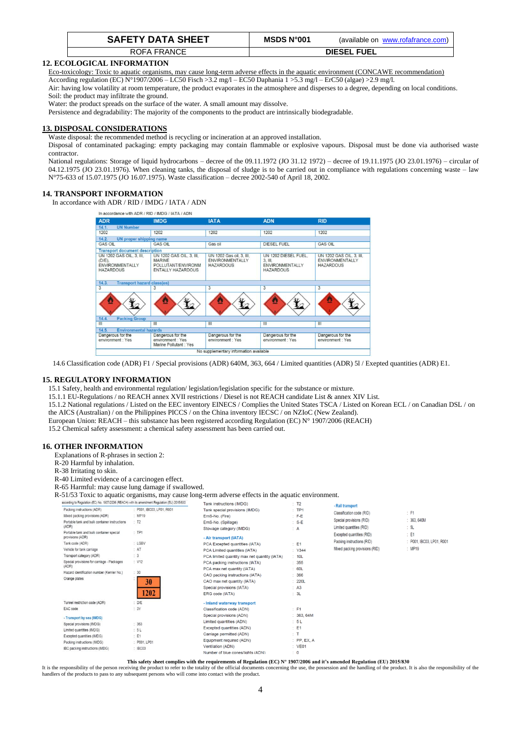| <b>SAFETY DATA SHEET</b> | MSDS N°001 | (available on www.rofafrance.com) |
|--------------------------|------------|-----------------------------------|
| ROFA FRANCE              |            | <b>DIESEL FUEL</b>                |

## **12. ECOLOGICAL INFORMATION**

Eco-toxicology: Toxic to aquatic organisms, may cause long-term adverse effects in the aquatic environment (CONCAWE recommendation)

According regulation (EC) N°1907/2006 – LC50 Fisch >3.2 mg/l – EC50 Daphania 1 >5.3 mg/l – ErC50 (algae) >2.9 mg/l.

Air: having low volatility at room temperature, the product evaporates in the atmosphere and disperses to a degree, depending on local conditions. Soil: the product may infiltrate the ground.

Water: the product spreads on the surface of the water. A small amount may dissolve.

Persistence and degradability: The majority of the components to the product are intrinsically biodegradable.

# **13. DISPOSAL CONSIDERATIONS**

Waste disposal: the recommended method is recycling or incineration at an approved installation.

Disposal of contaminated packaging: empty packaging may contain flammable or explosive vapours. Disposal must be done via authorised waste contractor.

National regulations: Storage of liquid hydrocarbons – decree of the 09.11.1972 (JO 31.12 1972) – decree of 19.11.1975 (JO 23.01.1976) – circular of 04.12.1975 (JO 23.01.1976). When cleaning tanks, the disposal of sludge is to be carried out in compliance with regulations concerning waste – law N°75-633 of 15.07.1975 (JO 16.07.1975). Waste classification – decree 2002-540 of April 18, 2002.

## **14. TRANSPORT INFORMATION**

In accordance with ADR / RID / IMDG / IATA / ADN

| <b>ADR</b>                                                                          | <b>IMDG</b>                                                                                 | <b>IATA</b>                                                     | <b>ADN</b>                                                                    | <b>RID</b>                                                             |
|-------------------------------------------------------------------------------------|---------------------------------------------------------------------------------------------|-----------------------------------------------------------------|-------------------------------------------------------------------------------|------------------------------------------------------------------------|
| 14.1.<br><b>UN Number</b>                                                           |                                                                                             |                                                                 |                                                                               |                                                                        |
| 1202                                                                                | 1202                                                                                        | 1202                                                            | 1202                                                                          | 1202                                                                   |
| 14.2.<br><b>UN</b> proper shipping name                                             |                                                                                             |                                                                 |                                                                               |                                                                        |
| <b>GAS OIL</b>                                                                      | <b>GAS OIL</b>                                                                              | Gas oil                                                         | <b>DIESEL FUEL</b>                                                            | <b>GAS OIL</b>                                                         |
| <b>Transport document description</b>                                               |                                                                                             |                                                                 |                                                                               |                                                                        |
| UN 1202 GAS OIL, 3, III,<br>$(D/E)$ .<br><b>ENVIRONMENTALLY</b><br><b>HAZARDOUS</b> | UN 1202 GAS OIL, 3, III,<br><b>MARINE</b><br>POLLUTANT/ENVIRONM<br><b>ENTALLY HAZARDOUS</b> | UN 1202 Gas oil, 3, III,<br>ENVIRONMENTALLY<br><b>HAZARDOUS</b> | UN 1202 DIESEL FUEL.<br>3. III.<br><b>ENVIRONMENTALLY</b><br><b>HAZARDOUS</b> | UN 1202 GAS OIL, 3, III.<br><b>ENVIRONMENTALLY</b><br><b>HAZARDOUS</b> |
| 14.3.<br><b>Transport hazard class(es)</b>                                          |                                                                                             |                                                                 |                                                                               |                                                                        |
| $\overline{3}$                                                                      | $\overline{3}$                                                                              | $\overline{3}$                                                  | $\overline{\mathbf{3}}$                                                       | $\overline{3}$                                                         |
|                                                                                     |                                                                                             |                                                                 |                                                                               |                                                                        |
| 14.4.<br><b>Packing Group</b>                                                       |                                                                                             |                                                                 |                                                                               |                                                                        |
| $\mathbf{m}$                                                                        | $\mathbf{H}$                                                                                | III                                                             | $\mathbf{m}$                                                                  | III                                                                    |
| 14.5.<br><b>Environmental hazards</b>                                               |                                                                                             |                                                                 |                                                                               |                                                                        |
| Dangerous for the<br>environment : Yes                                              | Dangerous for the<br>environment : Yes<br>Marine Pollutant : Yes                            | Dangerous for the<br>environment : Yes                          | Dangerous for the<br>environment : Yes                                        | Dangerous for the<br>environment : Yes                                 |

14.6 Classification code (ADR) F1 / Special provisions (ADR) 640M, 363, 664 / Limited quantities (ADR) 5l / Exepted quantities (ADR) E1.

## **15. REGULATORY INFORMATION**

15.1 Safety, health and environmental regulation/ legislation/legislation specific for the substance or mixture.

15.1.1 EU-Regulations / no REACH annex XVII restrictions / Diesel is not REACH candidate List & annex XIV List.

15.1.2 National regulations / Listed on the EEC inventory EINECS / Complies the United States TSCA / Listed on Korean ECL / on Canadian DSL / on the AICS (Australian) / on the Philippines PICCS / on the China inventory IECSC / on NZIoC (New Zealand).

European Union: REACH – this substance has been registered according Regulation (EC) N° 1907/2006 (REACH)

15.2 Chemical safety assessment: a chemical safety assessment has been carried out.

## **16. OTHER INFORMATION**

Explanations of R-phrases in section 2:

- R-20 Harmful by inhalation.
- R-38 Irritating to skin.
- R-40 Limited evidence of a carcinogen effect.

R-65 Harmful: may cause lung damage if swallowed.

R-51/53 Toxic to aquatic organisms, may cause long-term adverse effects in the aquatic environment.

| according to Regulation (EC) No. 1907/2006 (REACH) with its amendment Regulation (EU) 2015/830 |                         | Tank instructions (IMDG)                      | : T2           | - Rail transport                                     |                           |
|------------------------------------------------------------------------------------------------|-------------------------|-----------------------------------------------|----------------|------------------------------------------------------|---------------------------|
| Packing instructions (ADR)                                                                     | P001, IBC03, LP01, R001 | Tank special provisions (IMDG)                | :TP1           |                                                      |                           |
| Mixed packing provisions (ADR)                                                                 | : MP19                  | EmS-No. (Fire)                                | $\pm$ F-E      | Classification code (RID)                            | $\div$ F1                 |
| Portable tank and bulk container instructions<br>(ADR)                                         | T2                      | EmS-No. (Spillage)<br>Stowage category (IMDG) | $: S-E$<br>: A | Special provisions (RID)<br>Limited quantities (RID) | : 363, 640M<br>: 5L       |
| Portable tank and bulk container special<br>provisions (ADR)                                   | :TP1                    | - Air transport (IATA)                        |                | Excepted quantities (RID)                            | $\div$ E1                 |
| Tank code (ADR)                                                                                | : LGBV                  | PCA Excepted quantities (IATA)                | $E = 1$        | Packing instructions (RID)                           | : P001, IBC03, LP01, R001 |
| Vehicle for tank carriage                                                                      | : AT                    | PCA Limited quantities (IATA)                 | : Y344         | Mixed packing provisions (RID)                       | : MP19                    |
| Transport category (ADR)                                                                       | $\therefore$ 3          | PCA limited quantity max net quantity (IATA)  | : 10L          |                                                      |                           |
| Special provisions for carriage - Packages                                                     | : V12                   | PCA packing instructions (IATA)               | : 355          |                                                      |                           |
| (ADR)                                                                                          |                         | PCA max net quantity (IATA)                   | : 60L          |                                                      |                           |
| Hazard identification number (Kemler No.)                                                      | : 30                    | CAO packing instructions (IATA)               | : 366          |                                                      |                           |
| Orange plates                                                                                  | 30                      | CAO max net quantity (IATA)                   | : 220L         |                                                      |                           |
|                                                                                                |                         | Special provisions (IATA)                     | : A3           |                                                      |                           |
|                                                                                                | 1202                    | ERG code (IATA)                               | : 3L           |                                                      |                           |
| Tunnel restriction code (ADR)                                                                  | D/E                     | - Inland waterway transport                   |                |                                                      |                           |
| EAC code                                                                                       | : 3Y                    | Classification code (ADN)                     | $E$ F1         |                                                      |                           |
| - Transport by sea (IMDG)                                                                      |                         | Special provisions (ADN)                      | : 363, 64M     |                                                      |                           |
| Special provisions (IMDG)                                                                      | : 363                   | Limited quantities (ADN)                      | : 5L           |                                                      |                           |
| Limited quantities (IMDG)                                                                      | 5L                      | Excepted quantities (ADN)                     | $\pm 51$       |                                                      |                           |
| Excepted quantities (IMDG)                                                                     | E1                      | Carriage permitted (ADN)                      | : T            |                                                      |                           |
| Packing instructions (IMDG)                                                                    | : P001. LP01            | Equipment required (ADN)                      | $:$ PP, EX, A  |                                                      |                           |
| IBC packing instructions (IMDG)                                                                | : IBC03                 | Ventilation (ADN)                             | : VE01         |                                                      |                           |
|                                                                                                |                         | Number of blue consellights (ADN)             | $-$ 0          |                                                      |                           |

**This safety sheet complies with the requirements of Regulation (EC) N° 1907/2006 and it's amended Regulation (EU) 2015/830**

It is the responsibility of the person receiving the product to refer to the totality of the official documents concerning the use, the possession and the handling of the product. It is also the responsibility of the handlers of the products to pass to any subsequent persons who will come into contact with the product.